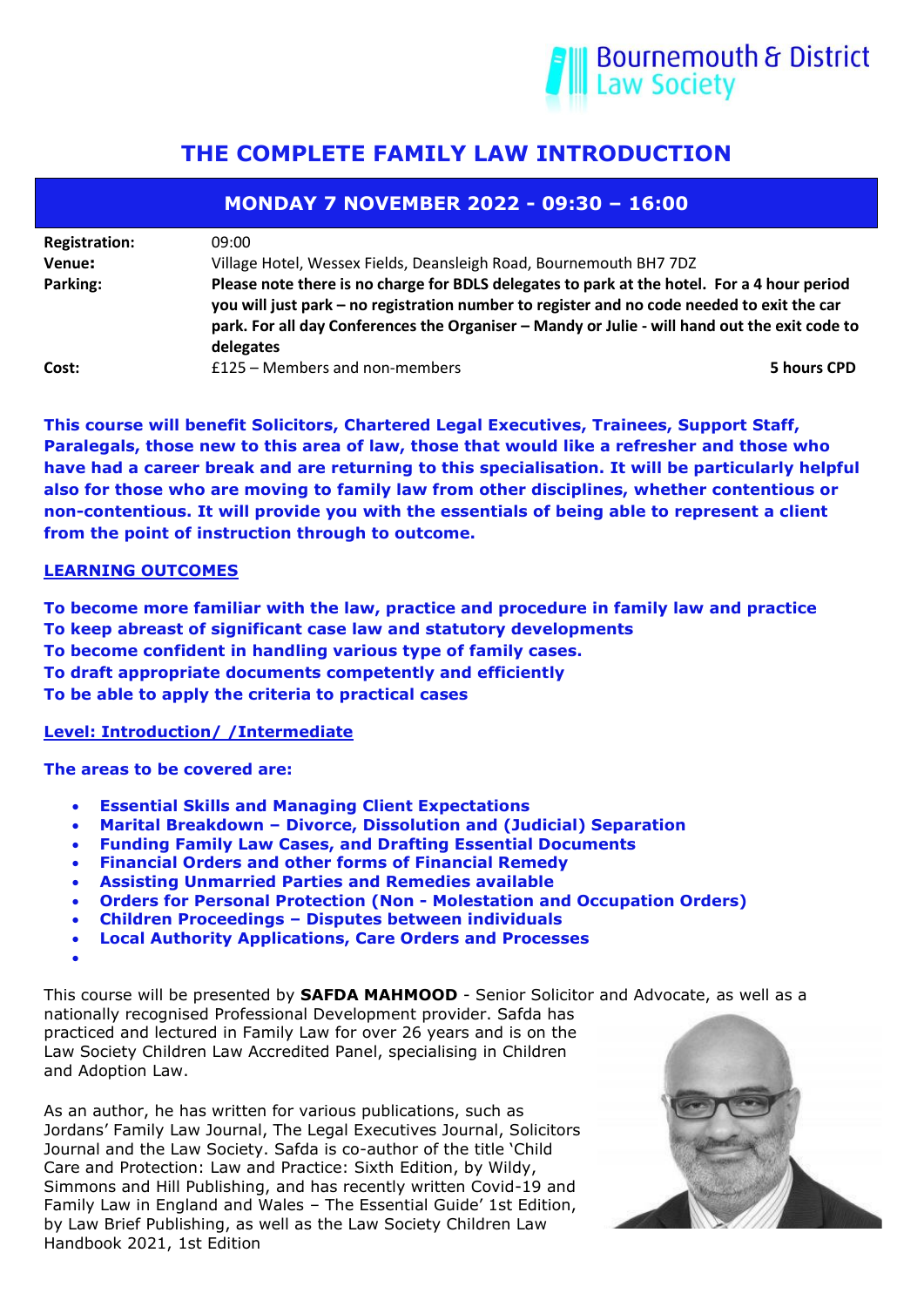

# **THE COMPLETE FAMILY LAW INTRODUCTION**

| <b>MONDAY 7 NOVEMBER 2022 - 09:30 - 16:00</b> |                                                                                                                                                                                                                                                                                                         |             |  |  |
|-----------------------------------------------|---------------------------------------------------------------------------------------------------------------------------------------------------------------------------------------------------------------------------------------------------------------------------------------------------------|-------------|--|--|
| <b>Registration:</b>                          | 09:00                                                                                                                                                                                                                                                                                                   |             |  |  |
| Venue:                                        | Village Hotel, Wessex Fields, Deansleigh Road, Bournemouth BH7 7DZ                                                                                                                                                                                                                                      |             |  |  |
| Parking:                                      | Please note there is no charge for BDLS delegates to park at the hotel. For a 4 hour period<br>you will just park - no registration number to register and no code needed to exit the car<br>park. For all day Conferences the Organiser - Mandy or Julie - will hand out the exit code to<br>delegates |             |  |  |
| Cost:                                         | £125 - Members and non-members                                                                                                                                                                                                                                                                          | 5 hours CPD |  |  |

**This course will benefit Solicitors, Chartered Legal Executives, Trainees, Support Staff, Paralegals, those new to this area of law, those that would like a refresher and those who have had a career break and are returning to this specialisation. It will be particularly helpful also for those who are moving to family law from other disciplines, whether contentious or non-contentious. It will provide you with the essentials of being able to represent a client from the point of instruction through to outcome.**

### **LEARNING OUTCOMES**

**To become more familiar with the law, practice and procedure in family law and practice To keep abreast of significant case law and statutory developments To become confident in handling various type of family cases. To draft appropriate documents competently and efficiently To be able to apply the criteria to practical cases** 

#### **Level: Introduction/ /Intermediate**

**The areas to be covered are:**

- **Essential Skills and Managing Client Expectations**
- **Marital Breakdown – Divorce, Dissolution and (Judicial) Separation**
- **Funding Family Law Cases, and Drafting Essential Documents**
- **Financial Orders and other forms of Financial Remedy**
- **Assisting Unmarried Parties and Remedies available**
- **Orders for Personal Protection (Non - Molestation and Occupation Orders)**
- **Children Proceedings – Disputes between individuals**
- **Local Authority Applications, Care Orders and Processes**

•

This course will be presented by **SAFDA MAHMOOD** - Senior Solicitor and Advocate, as well as a nationally recognised Professional Development provider. Safda has

practiced and lectured in Family Law for over 26 years and is on the Law Society Children Law Accredited Panel, specialising in Children and Adoption Law.

As an author, he has written for various publications, such as Jordans' Family Law Journal, The Legal Executives Journal, Solicitors Journal and the Law Society. Safda is co-author of the title 'Child Care and Protection: Law and Practice: Sixth Edition, by Wildy, Simmons and Hill Publishing, and has recently written Covid-19 and Family Law in England and Wales – The Essential Guide' 1st Edition, by Law Brief Publishing, as well as the Law Society Children Law Handbook 2021, 1st Edition